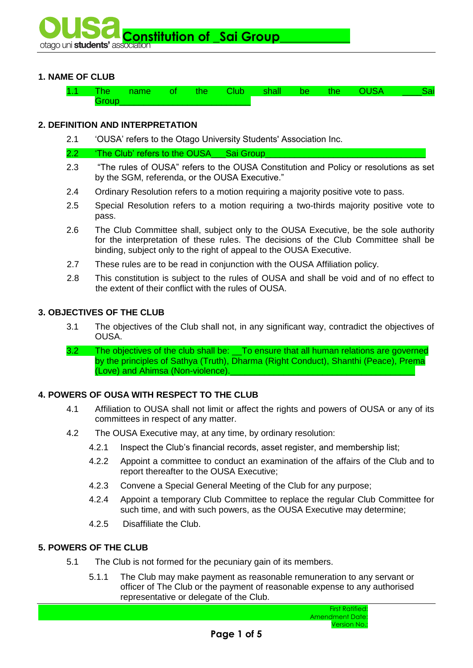

# **1. NAME OF CLUB**

| ы. |  |  | - |  |  |  |  |  |
|----|--|--|---|--|--|--|--|--|
|    |  |  |   |  |  |  |  |  |

## **2. DEFINITION AND INTERPRETATION**

2.1 'OUSA' refers to the Otago University Students' Association Inc.

2.2 The Club' refers to the OUSA Sai Group

- 2.3 "The rules of OUSA" refers to the OUSA Constitution and Policy or resolutions as set by the SGM, referenda, or the OUSA Executive."
- 2.4 Ordinary Resolution refers to a motion requiring a majority positive vote to pass.
- 2.5 Special Resolution refers to a motion requiring a two-thirds majority positive vote to pass.
- 2.6 The Club Committee shall, subject only to the OUSA Executive, be the sole authority for the interpretation of these rules. The decisions of the Club Committee shall be binding, subject only to the right of appeal to the OUSA Executive.
- 2.7 These rules are to be read in conjunction with the OUSA Affiliation policy.
- 2.8 This constitution is subject to the rules of OUSA and shall be void and of no effect to the extent of their conflict with the rules of OUSA.

### **3. OBJECTIVES OF THE CLUB**

- 3.1 The objectives of the Club shall not, in any significant way, contradict the objectives of OUSA.
- 3.2 The objectives of the club shall be: \_\_To ensure that all human relations are governed by the principles of Sathya (Truth), Dharma (Right Conduct), Shanthi (Peace), Prema (Love) and Ahimsa (Non-violence).

# **4. POWERS OF OUSA WITH RESPECT TO THE CLUB**

- 4.1 Affiliation to OUSA shall not limit or affect the rights and powers of OUSA or any of its committees in respect of any matter.
- 4.2 The OUSA Executive may, at any time, by ordinary resolution:
	- 4.2.1 Inspect the Club's financial records, asset register, and membership list;
	- 4.2.2 Appoint a committee to conduct an examination of the affairs of the Club and to report thereafter to the OUSA Executive;
	- 4.2.3 Convene a Special General Meeting of the Club for any purpose;
	- 4.2.4 Appoint a temporary Club Committee to replace the regular Club Committee for such time, and with such powers, as the OUSA Executive may determine;
	- 4.2.5 Disaffiliate the Club.

## **5. POWERS OF THE CLUB**

- 5.1 The Club is not formed for the pecuniary gain of its members.
	- 5.1.1 The Club may make payment as reasonable remuneration to any servant or officer of The Club or the payment of reasonable expense to any authorised representative or delegate of the Club.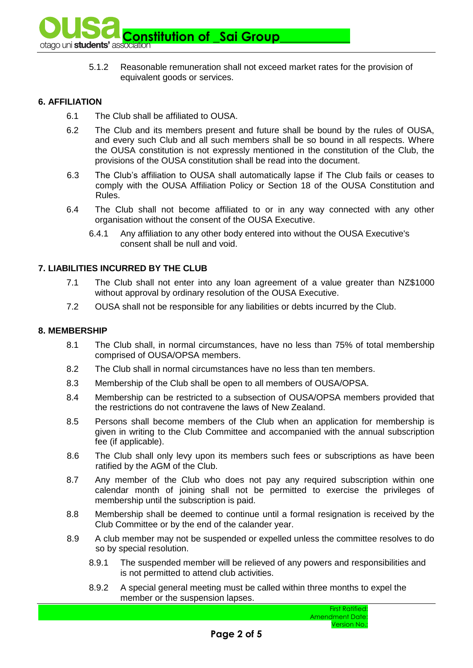

5.1.2 Reasonable remuneration shall not exceed market rates for the provision of equivalent goods or services.

# **6. AFFILIATION**

- 6.1 The Club shall be affiliated to OUSA.
- 6.2 The Club and its members present and future shall be bound by the rules of OUSA, and every such Club and all such members shall be so bound in all respects. Where the OUSA constitution is not expressly mentioned in the constitution of the Club, the provisions of the OUSA constitution shall be read into the document.
- 6.3 The Club's affiliation to OUSA shall automatically lapse if The Club fails or ceases to comply with the OUSA Affiliation Policy or Section 18 of the OUSA Constitution and Rules.
- 6.4 The Club shall not become affiliated to or in any way connected with any other organisation without the consent of the OUSA Executive.
	- 6.4.1 Any affiliation to any other body entered into without the OUSA Executive's consent shall be null and void.

# **7. LIABILITIES INCURRED BY THE CLUB**

- 7.1 The Club shall not enter into any loan agreement of a value greater than NZ\$1000 without approval by ordinary resolution of the OUSA Executive.
- 7.2 OUSA shall not be responsible for any liabilities or debts incurred by the Club.

### **8. MEMBERSHIP**

- 8.1 The Club shall, in normal circumstances, have no less than 75% of total membership comprised of OUSA/OPSA members.
- 8.2 The Club shall in normal circumstances have no less than ten members.
- 8.3 Membership of the Club shall be open to all members of OUSA/OPSA.
- 8.4 Membership can be restricted to a subsection of OUSA/OPSA members provided that the restrictions do not contravene the laws of New Zealand.
- 8.5 Persons shall become members of the Club when an application for membership is given in writing to the Club Committee and accompanied with the annual subscription fee (if applicable).
- 8.6 The Club shall only levy upon its members such fees or subscriptions as have been ratified by the AGM of the Club.
- 8.7 Any member of the Club who does not pay any required subscription within one calendar month of joining shall not be permitted to exercise the privileges of membership until the subscription is paid.
- 8.8 Membership shall be deemed to continue until a formal resignation is received by the Club Committee or by the end of the calander year.
- 8.9 A club member may not be suspended or expelled unless the committee resolves to do so by special resolution.
	- 8.9.1 The suspended member will be relieved of any powers and responsibilities and is not permitted to attend club activities.
	- 8.9.2 A special general meeting must be called within three months to expel the member or the suspension lapses.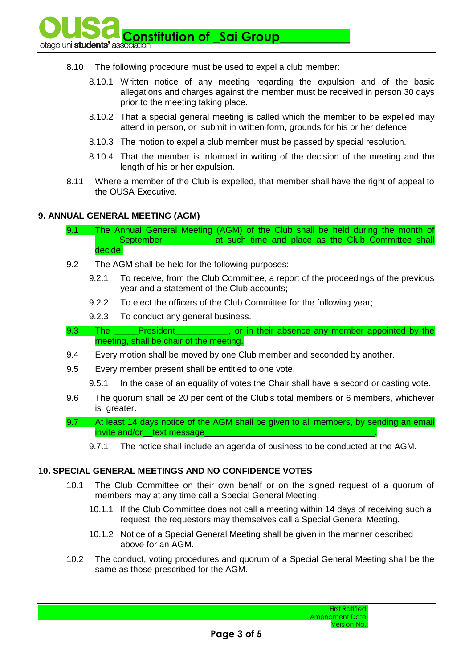**Constitution of Sai Group\_** 

- 8.10 The following procedure must be used to expel a club member:
	- 8.10.1 Written notice of any meeting regarding the expulsion and of the basic allegations and charges against the member must be received in person 30 days prior to the meeting taking place.
	- 8.10.2 That a special general meeting is called which the member to be expelled may attend in person, or submit in written form, grounds for his or her defence.
	- 8.10.3 The motion to expel a club member must be passed by special resolution.
	- 8.10.4 That the member is informed in writing of the decision of the meeting and the length of his or her expulsion.
- 8.11 Where a member of the Club is expelled, that member shall have the right of appeal to the OUSA Executive.

#### **9. ANNUAL GENERAL MEETING (AGM)**

- 9.1 The Annual General Meeting (AGM) of the Club shall be held during the month of September **at such time and place as the Club Committee shall** decide.
- 9.2 The AGM shall be held for the following purposes:
	- 9.2.1 To receive, from the Club Committee, a report of the proceedings of the previous year and a statement of the Club accounts;
	- 9.2.2 To elect the officers of the Club Committee for the following year;
	- 9.2.3 To conduct any general business.
- 9.3 The President enterty provident absence any member appointed by the meeting, shall be chair of the meeting.
- 9.4 Every motion shall be moved by one Club member and seconded by another.
- 9.5 Every member present shall be entitled to one vote,
	- 9.5.1 In the case of an equality of votes the Chair shall have a second or casting vote.
- 9.6 The quorum shall be 20 per cent of the Club's total members or 6 members, whichever is greater.
- 9.7 At least 14 days notice of the AGM shall be given to all members, by sending an email invite and/or text message
	- 9.7.1 The notice shall include an agenda of business to be conducted at the AGM.

#### **10. SPECIAL GENERAL MEETINGS AND NO CONFIDENCE VOTES**

- 10.1 The Club Committee on their own behalf or on the signed request of a quorum of members may at any time call a Special General Meeting.
	- 10.1.1 If the Club Committee does not call a meeting within 14 days of receiving such a request, the requestors may themselves call a Special General Meeting.
	- 10.1.2 Notice of a Special General Meeting shall be given in the manner described above for an AGM.
- 10.2 The conduct, voting procedures and quorum of a Special General Meeting shall be the same as those prescribed for the AGM.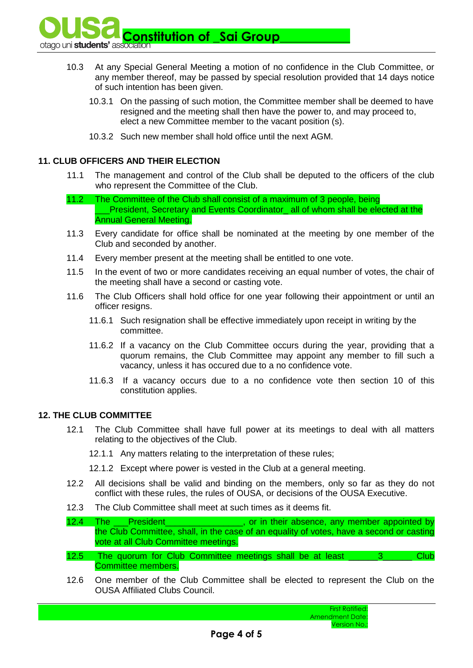**Constitution of \_Sai Group\_**<br>otago uni students' association

- 10.3 At any Special General Meeting a motion of no confidence in the Club Committee, or any member thereof, may be passed by special resolution provided that 14 days notice of such intention has been given.
	- 10.3.1 On the passing of such motion, the Committee member shall be deemed to have resigned and the meeting shall then have the power to, and may proceed to, elect a new Committee member to the vacant position (s).
	- 10.3.2 Such new member shall hold office until the next AGM.

# **11. CLUB OFFICERS AND THEIR ELECTION**

- 11.1 The management and control of the Club shall be deputed to the officers of the club who represent the Committee of the Club.
- 11.2 The Committee of the Club shall consist of a maximum of 3 people, being President, Secretary and Events Coordinator all of whom shall be elected at the Annual General Meeting.
- 11.3 Every candidate for office shall be nominated at the meeting by one member of the Club and seconded by another.
- 11.4 Every member present at the meeting shall be entitled to one vote.
- 11.5 In the event of two or more candidates receiving an equal number of votes, the chair of the meeting shall have a second or casting vote.
- 11.6 The Club Officers shall hold office for one year following their appointment or until an officer resigns.
	- 11.6.1 Such resignation shall be effective immediately upon receipt in writing by the committee.
	- 11.6.2 If a vacancy on the Club Committee occurs during the year, providing that a quorum remains, the Club Committee may appoint any member to fill such a vacancy, unless it has occured due to a no confidence vote.
	- 11.6.3 If a vacancy occurs due to a no confidence vote then section 10 of this constitution applies.

# **12. THE CLUB COMMITTEE**

- 12.1 The Club Committee shall have full power at its meetings to deal with all matters relating to the objectives of the Club.
	- 12.1.1 Any matters relating to the interpretation of these rules;
	- 12.1.2 Except where power is vested in the Club at a general meeting.
- 12.2 All decisions shall be valid and binding on the members, only so far as they do not conflict with these rules, the rules of OUSA, or decisions of the OUSA Executive.
- 12.3 The Club Committee shall meet at such times as it deems fit.
- 12.4 The <u>President</u> **President Example 20**, or in their absence, any member appointed by the Club Committee, shall, in the case of an equality of votes, have a second or casting vote at all Club Committee meetings.
- 12.5 The quorum for Club Committee meetings shall be at least \_\_\_\_\_\_\_3\_\_\_\_\_\_\_ Club Committee members.
- 12.6 One member of the Club Committee shall be elected to represent the Club on the OUSA Affiliated Clubs Council.